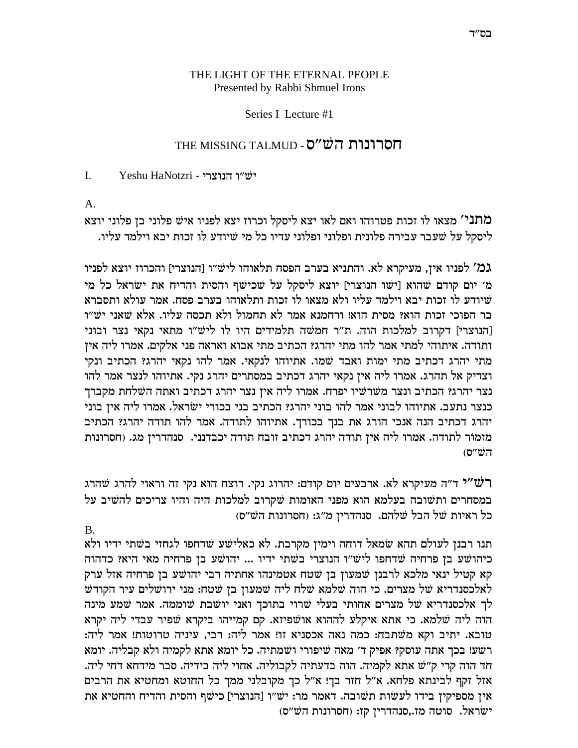## THE LIGHT OF THE ETERNAL PEOPLE Presented by Rabbi Shmuel Irons

## Series I Lecture #1

## חסרונות הש״ס - THE MISSING TALMUD

 $\mathbf{L}$ Yeshu HaNotzri - יש״ו הנוצרי

 $A.$ 

מתני' מצאו לו זכות פטרוהו ואם לאו יצא ליסקל וכרוז יצא לפניו איש פלוני בן פלוני יוצא ליסקל על שעבר עבירה פלונית ופלוני ופלוני עדיו כל מי שיודע לו זכות יבא וילמד עליו.

גמ' לפניו אין, מעיקרא לא. והתניא בערב הפסח תלאוהו ליש״ו [הנוצרי] והכרוז יוצא לפניו מ׳ יום קודם שהוא [ישו הנוצרי] יוצא ליסקל על שכישף והסית והדיח את ישראל כל מי שיודע לו זכות יבא וילמד עליו ולא מצאו לו זכות ותלאוהו בערב פסח. אמר עולא ותסברא בר הפוכי זכות הוא? מסית הוא! ורחמנא אמר לא תחמול ולא תכסה עליו. אלא שאני יש״ו [הנוצרי] דקרוב למלכות הוה. ת"ר חמשה תלמידים היו לו ליש"ו מתאי נקאי נצר ובוני ותודה. איתוהי למתי אמר להו מתי יהרג? הכתיב מתי אבוא ואראה פני אלקים. אמרו ליה אין מתי יהרג דכתיב מתי ימות ואבד שמו. אתיוהו לנקאי. אמר להו נקאי יהרג? הכתיב ונקי וצדיק אל תהרג. אמרו ליה אין נקאי יהרג דכתיב במסתרים יהרג נקי. אתיוהו לנצר אמר להו נצר יהרג? הכתיב ונצר משרשיו יפרח. אמרו ליה אין נצר יהרג דכתיב ואתה השלחת מקברך כנצר נתעב. אתיוהו לבוני אמר להו בוני יהרג? הכתיב בני בכורי ישראל. אמרו ליה אין בוני יהרג דכתיב הנה אנכי הורג את בנך בכורך. אתיוהו לתודה. אמר להו תודה יהרג? הכתיב מזמור לתודה. אמרו ליה אין תודה יהרג דכתיב זובח תודה יכבדנני. סנהדרין מג. (חסרונות  $(5''\ddot{\text{U}}')$ 

רש "י האוי להרג הארבעים הום הודם: יהרוג נקי. רוצח הוא נקי זה וראוי להרג שהרג במסחרים ותשובה בעלמא הוא מפני האומות שקרוב למלכות היה והיו צריכים להשיב על כל ראיות של הבל שלהם. סנהדרין מ״ג: (חסרונות הש״ס)

 $B<sub>1</sub>$ 

תנו רבנן לעולם תהא שמאל דוחה וימין מקרבת. לא כאלישע שדחפו לגחזי בשתי ידיו ולא כיהושע בן פרחיה שדחפו ליש״ו הנוצרי בשתי ידיו ... יהושע בן פרחיה מאי היא? כדהוה קא קטיל ינאי מלכא לרבנן שמעון בן שטח אטמינהו אחתיה רבי יהושע בן פרחיה אזל ערק לאלכסנדריא של מצרים. כי הוה שלמא שלח ליה שמעון בן שטח: מני ירושלים עיר הקודש לך אלכסנדריא של מצרים אחותי בעלי שרוי בתוכך ואני יושבת שוממה. אמר שמע מינה הוה ליה שלמא. כי אתא איקלע לההוא אושפיזא. קם קמייהו ביקרא שפיר עבדי ליה יקרא טובא. יתיב וקא משתבח: כמה נאה אכסניא זו! אמר ליה: רבי, עיניה טרוטות! אמר ליה: רשע! בכך אתה עוסק? אפיק ד' מאה שיפורי ושמתיה. כל יומא אתא לקמיה ולא קבליה. יומא חד הוה קרי ק"ש אתא לקמיה. הוה בדעתיה לקבוליה. אחוי ליה בידיה. סבר מידחא דחי ליה. אזל זקף לבינתא פלחא. א"ל חזר בך! א"ל כך מקובלני ממך כל החוטא ומחטיא את הרבים אין מספיקין בידו לעשות תשובה. דאמר מר: יש"ו [הנוצרי] כישף והסית והדיח והחטיא את ישׂראל. סוטה מז.,סנהדרין קז: (חסרונות הש"ס)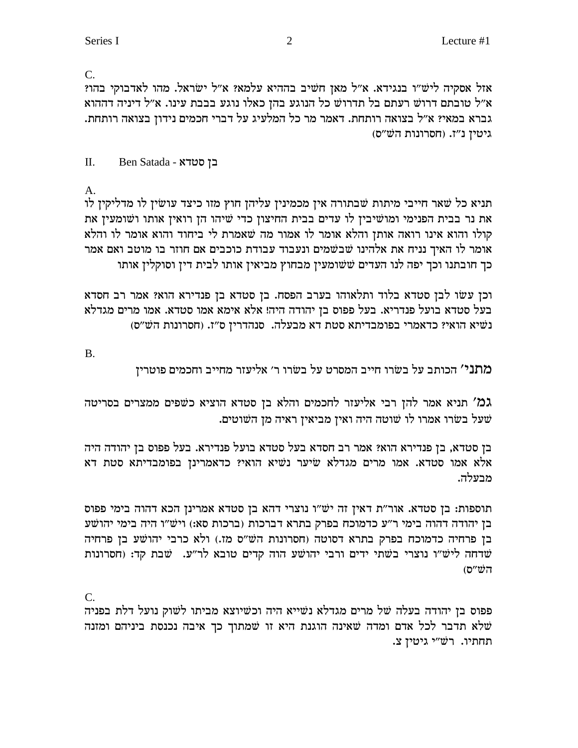$C_{\cdot}$ 

אזל אסקיה ליש"ו בנגידא. א"ל מאן חשיב בההיא עלמא? א"ל ישראל. מהו לאדבוקי בהו? א״ל טובתם דרוש רעתם בל תדרוש כל הנוגע בהן כאלו נוגע בבבת עינו. א״ל דיניה דההוא גברא במאי? א״ל בצואה רותחת. דאמר מר כל המלעיג על דברי חכמים נידון בצואה רותחת. גיטין נ"ז. (חסרונות הש"ס)

 $\Pi$ . E<br />Ben Satada - בן סטרא

 $A_{\cdot}$ 

תניא כל שאר חייבי מיתות שבתורה אין מכמינין עליהן חוץ מזו כיצד עושין לו מדליקין לו את נר בבית הפנימי ומושיבין לו עדים בבית החיצון כדי שיהו הן רואין אותו ושומעין את קולו והוא אינו רואה אותן והלא אומר לו אמור מה שאמרת לי ביחוד והוא אומר לו והלא אומר לו האיך נניח את אלהינו שבשמים ונעבוד עבודת כוכבים אם חוזר בו מוטב ואם אמר כך חובתנו וכך יפה לנו העדים ששומעין מבחוץ מביאין אותו לבית דין וסוקלין אותו

וכן עשו לבן סטדא בלוד ותלאוהו בערב הפסח. בן סטדא בן פנדירא הוא? אמר רב חסדא בעל סטדא בועל פנדריא. בעל פפוס בן יהודה היה! אלא אימא אמו סטדא. אמו מרים מגדלא נשיא הואי? כדאמרי בפומבדיתא סטת דא מבעלה. סנהדרין ס"ז. (חסרונות הש"ס)

 $B.$ 

מתני' הכותב על בשרו חייב המסרט על בשרו ר׳ אליעזר מחייב וחכמים פוטרין

גמ' תניא אמר להן רבי אליעזר לחכמים והלא בן סטדא הוציא כשפים ממצרים בסריטה שעל בשרו אמרו לו שוטה היה ואין מביאין ראיה מן השוטים.

בז סטדא, בז פנדירא הוא? אמר רב חסדא בעל סטדא בועל פנדירא. בעל פפוס בז יהודה היה אלא אמו סטדא. אמו מרים מגדלא שיער נשיא הואי? כדאמרינן בפומבדיתא סטת דא מבעלה.

תוספות: בן סטדא. אור"ת דאין זה יש"ו נוצרי דהא בן סטדא אמרינן הכא דהוה בימי פפוס בן יהודה דהוה בימי ר"ע כדמוכח בפרק בתרא דברכות (ברכות סא:) ויש"ו היה בימי יהושע בן פרחיה כדמוכח בפרק בתרא דסוטה (חסרונות הש״ס מז.) ולא כרבי יהושע בן פרחיה שרחה ליש״ו נוצרי בשתי ידים ורבי יהושע הוה קדים טובא לר״ע. שבת קד: (חסרונות  $(5''\ddot{\text{w}})$ ה

 $C_{\cdot}$ 

פפוס בן יהודה בעלה של מרים מגדלא נשייא היה וכשיוצא מביתו לשוק נועל דלת בפניה שלא תדבר לכל אדם ומדה שאינה הוגנת היא זו שמתוך כך איבה נכנסת ביניהם ומזנה תחתיו. רש״י גיטין צ.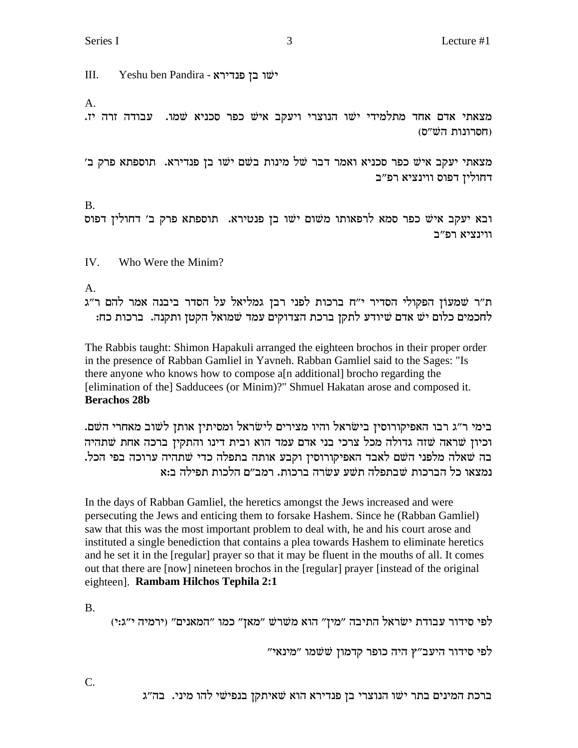Series I and  $\frac{3}{3}$  Lecture #1

III. Yeshu ben Pandira - ישׁו בן פנדירא

A.

.מצאתי אדם אחד מתלמידי ישו הנוצרי ויעקב איש כפר סכניא שמו. עבודה זרה יז (חסרונות השׁ"ס)

'מצאתי יעקב איש כפר סכניא ואמר דבר של מינות בשם ישו בן פנדירא. תוספתא פרק ב דחולין דפוס ווינציא רפ״ב

B. ובא יעקב איש כפר סמא לרפאותו משום ישו בן פנטירא. תוספתא פרק ב׳ דחולין דפוס ווינציא רפ״ב

IV. Who Were the Minim?

A.

ת״ר שמעוֹן הפקולי הסדיר י״ח ברכות לפני רבן גמליאל על הסדר ביבנה אמר להם ר״ג לחכמים כלום ישׁ אדם שיודע לתקן ברכת הצדוקים עמד שמואל הקטן ותקנה. ברכות כח:

The Rabbis taught: Shimon Hapakuli arranged the eighteen brochos in their proper order in the presence of Rabban Gamliel in Yavneh. Rabban Gamliel said to the Sages: "Is there anyone who knows how to compose a[n additional] brocho regarding the [elimination of the] Sadducees (or Minim)?" Shmuel Hakatan arose and composed it. **Berachos 28b**

.<br>בימי ר״ג רבו האפיקורוסין בישׂראל והיו מצירים לישׂראל ומסיתין אותן לשוב מאחרי השם וכיון שראה שזה גדולה מכל צרכי בני אדם עמד הוא ובית דינו והתקין ברכה אחת שתהיה בה שאלה מלפני השם לאבד האפיקורוסיז וקבע אותה בתפלה כדי שתהיה ערוכה בפי הכל. נמצאו כל הברכות שבתפלה תשע עשרה ברכות. רמב״ם הלכות תפילה ב:א

In the days of Rabban Gamliel, the heretics amongst the Jews increased and were persecuting the Jews and enticing them to forsake Hashem. Since he (Rabban Gamliel) saw that this was the most important problem to deal with, he and his court arose and instituted a single benediction that contains a plea towards Hashem to eliminate heretics and he set it in the [regular] prayer so that it may be fluent in the mouths of all. It comes out that there are [now] nineteen brochos in the [regular] prayer [instead of the original eighteen]. **Rambam Hilchos Tephila 2:1**

B.

(1:ג:י) לפי סידור עבודת ישׂראל התיבה "מין" הוא משׁרשׁ "מאן" כמו "המאנים" (ירמיה י"ג:י

לפי סידור היעב"ץ היה כופר קדמון ששמו "מינאי"

ברכת המינים בתר ישו הנוצרי בן פנדירא הוא שאיתקן בנפישי להו מיני. בה״ג

C.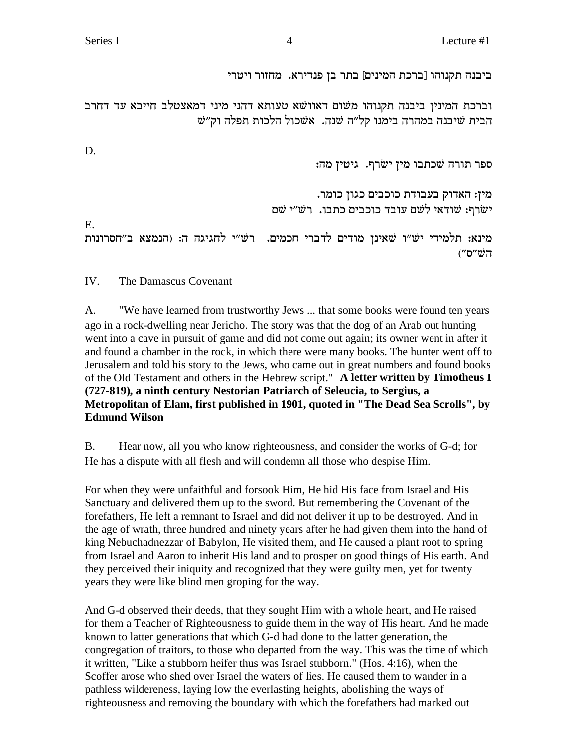ביבנה תקנוהו [ברכת המינים] בתר בן פנדירא. מחזור ויטרי

וברכת המינין ביבנה תקנוהו משום דאוושא טעותא דהני מיני דמאצטלב חייבא עד דחרב הבית שיבנה במהרה בימנו קל"ה שנה. אשכול הלכות תפלה וק"ש

D.

E.

ספר תורה שכתבו מין ישרף. גיטין מה: מין: האדוק בעבודת כוכבים כגון כומר. ישׂרף: שודאי לשם עובד כוכבים כתבו. רש״י שם מינא: תלמידי יש״ו שאינן מודים לדברי חכמים. רש״י לחגיגה ה: (הנמצא ב״חסרונות הש״ס״)

IV. The Damascus Covenant

A. "We have learned from trustworthy Jews ... that some books were found ten years ago in a rock-dwelling near Jericho. The story was that the dog of an Arab out hunting went into a cave in pursuit of game and did not come out again; its owner went in after it and found a chamber in the rock, in which there were many books. The hunter went off to Jerusalem and told his story to the Jews, who came out in great numbers and found books of the Old Testament and others in the Hebrew script." A letter written by Timotheus I (727-819), a ninth century Nestorian Patriarch of Seleucia, to Sergius, a Metropolitan of Elam, first published in 1901, quoted in "The Dead Sea Scrolls", by **Edmund Wilson** 

**B.** Hear now, all you who know righteousness, and consider the works of G-d; for He has a dispute with all flesh and will condemn all those who despise Him.

For when they were unfaithful and forsook Him, He hid His face from Israel and His Sanctuary and delivered them up to the sword. But remembering the Covenant of the forefathers, He left a remnant to Israel and did not deliver it up to be destroyed. And in the age of wrath, three hundred and ninety years after he had given them into the hand of king Nebuchadnezzar of Babylon, He visited them, and He caused a plant root to spring from Israel and Aaron to inherit His land and to prosper on good things of His earth. And they perceived their iniquity and recognized that they were guilty men, yet for twenty years they were like blind men groping for the way.

And G-d observed their deeds, that they sought Him with a whole heart, and He raised for them a Teacher of Righteousness to guide them in the way of His heart. And he made known to latter generations that which G-d had done to the latter generation, the congregation of traitors, to those who departed from the way. This was the time of which it written, "Like a stubborn heifer thus was Israel stubborn." (Hos. 4:16), when the Scoffer arose who shed over Israel the waters of lies. He caused them to wander in a pathless wildereness, laying low the everlasting heights, abolishing the ways of righteousness and removing the boundary with which the forefathers had marked out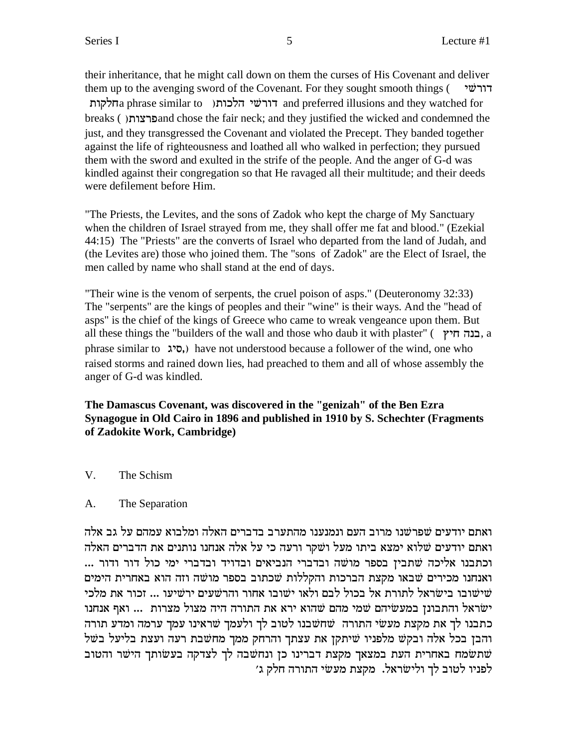their inheritance, that he might call down on them the curses of His Covenant and deliver them up to the avenging sword of the Covenant. For they sought smooth things ( $\triangledown$ דורשי a phrase similar to ) דורשי הלכות and preferred illusions and they watched for breaks ( )and chose the fair neck; and they justified the wicked and condemned the just, and they transgressed the Covenant and violated the Precept. They banded together against the life of righteousness and loathed all who walked in perfection; they pursued them with the sword and exulted in the strife of the people. And the anger of G-d was kindled against their congregation so that He ravaged all their multitude; and their deeds were defilement before Him.

"The Priests, the Levites, and the sons of Zadok who kept the charge of My Sanctuary when the children of Israel strayed from me, they shall offer me fat and blood." (Ezekial 44:15) The "Priests" are the converts of Israel who departed from the land of Judah, and (the Levites are) those who joined them. The "sons of Zadok" are the Elect of Israel, the men called by name who shall stand at the end of days.

"Their wine is the venom of serpents, the cruel poison of asps." (Deuteronomy 32:33) The "serpents" are the kings of peoples and their "wine" is their ways. And the "head of asps" is the chief of the kings of Greece who came to wreak vengeance upon them. But all these things the "builders of the wall and those who daub it with plaster" ( $\pi$ הבנה חיץ, a phrase similar to biq,) have not understood because a follower of the wind, one who raised storms and rained down lies, had preached to them and all of whose assembly the anger of G-d was kindled.

**The Damascus Covenant, was discovered in the "genizah" of the Ben Ezra Synagogue in Old Cairo in 1896 and published in 1910 by S. Schechter (Fragments of Zadokite Work, Cambridge)**

V. The Schism

## A. The Separation

ואתם יודעים שפרשנו מרוב העם ונמנענו מהתערב בדברים האלה ומלבוא עמהם על גב אלה ואתם יודעים שלוא ימצא ביתו מעל ושקר ורעה כי על אלה אנחנו נותנים את הדברים האלה ... וכתבנו אליכה שתבין בספר מושה ובדברי הנביאים ובדויד ובדברי ימי כול דור ודור ... ואנחנו מכירים שבאו מקצת הברכות והקללות שכתוב בספר מושה וזה הוא באחרית הימים שישובו בישראל לתורת אל בכול לבם ולאו ישובו אחור והרשעים ירשיעו ... זכור את מלכי  $\dot{w}$ ישׂראל והתבונן במעשיהם שמי מהם שהוא ירא את התורה היה מצול מצרות ... ואף אנחנו כתבנו לך את מקצת מעשי התורה שחשבנו לטוב לך ולעמך שראינו עמך ערמה ומדע תורה והבן בכל אלה ובקש מלפניו שיתקן את עצתך והרחק ממך מחשבת רעה ועצת בליעל בשל מת באחרית העת במצאך מקצת דברינו כן ונחשבה לך לצדקה בעשותך הישר והטוב  $\dot{w}$ לפניו לטוב לך ולישראל. מקצת מעשי התורה חלק ג׳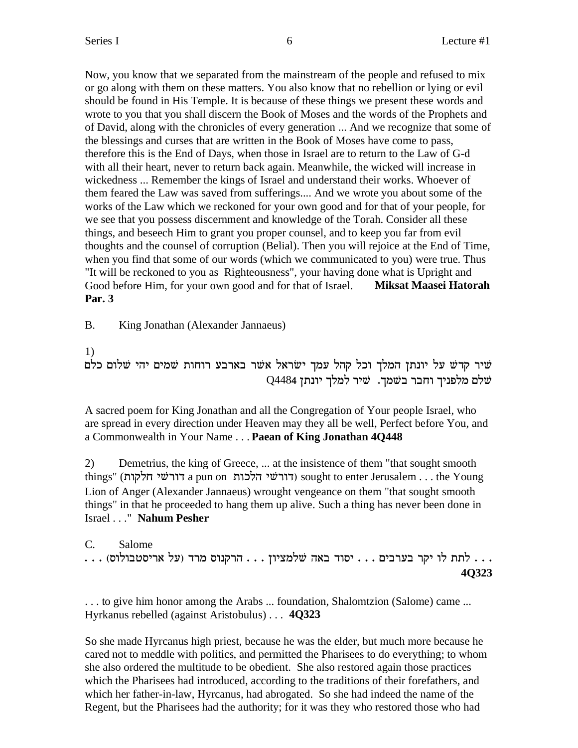Now, you know that we separated from the mainstream of the people and refused to mix or go along with them on these matters. You also know that no rebellion or lying or evil should be found in His Temple. It is because of these things we present these words and wrote to you that you shall discern the Book of Moses and the words of the Prophets and of David, along with the chronicles of every generation ... And we recognize that some of the blessings and curses that are written in the Book of Moses have come to pass, therefore this is the End of Days, when those in Israel are to return to the Law of G-d with all their heart, never to return back again. Meanwhile, the wicked will increase in wickedness ... Remember the kings of Israel and understand their works. Whoever of them feared the Law was saved from sufferings.... And we wrote you about some of the works of the Law which we reckoned for your own good and for that of your people, for we see that you possess discernment and knowledge of the Torah. Consider all these things, and beseech Him to grant you proper counsel, and to keep you far from evil thoughts and the counsel of corruption (Belial). Then you will rejoice at the End of Time, when you find that some of our words (which we communicated to you) were true. Thus "It will be reckoned to you as Righteousness", your having done what is Upright and Good before Him, for your own good and for that of Israel. **Miksat Maasei Hatorah Par. 3**

B. King Jonathan (Alexander Jannaeus)

1)

שיר קדש על יונתן המלך וכל קהל עמך ישראל אשר בארבע רוחות שמים יהי שלום כלם שלם מלפניד וחבר בשמד. שיר למלך יונתן Q4484

A sacred poem for King Jonathan and all the Congregation of Your people Israel, who are spread in every direction under Heaven may they all be well, Perfect before You, and a Commonwealth in Your Name . . . **Paean of King Jonathan 4Q448**

2) Demetrius, the king of Greece, ... at the insistence of them "that sought smooth things" (דורשי הלכות a pun on דורשי sought to enter Jerusalem . . . the Young Lion of Anger (Alexander Jannaeus) wrought vengeance on them "that sought smooth things" in that he proceeded to hang them up alive. Such a thing has never been done in Israel . . ." **Nahum Pesher**

C. Salome . . . לתת לו יקר בערבים . . . יסוד באה שלמציון . . . הרקנוס מרד (על אריסטבולוס) . . . **4Q323**

. . . to give him honor among the Arabs ... foundation, Shalomtzion (Salome) came ... Hyrkanus rebelled (against Aristobulus) . . . **4Q323**

So she made Hyrcanus high priest, because he was the elder, but much more because he cared not to meddle with politics, and permitted the Pharisees to do everything; to whom she also ordered the multitude to be obedient. She also restored again those practices which the Pharisees had introduced, according to the traditions of their forefathers, and which her father-in-law, Hyrcanus, had abrogated. So she had indeed the name of the Regent, but the Pharisees had the authority; for it was they who restored those who had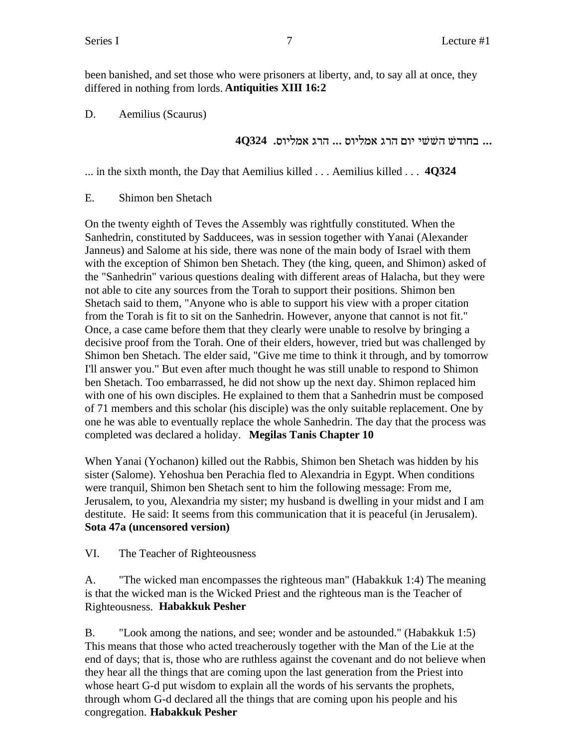been banished, and set those who were prisoners at liberty, and, to say all at once, they differed in nothing from lords. **Antiquities XIII 16:2**

D. Aemilius (Scaurus)

... בחודש הששי יום הרג אמליוס ... הרג אמליוס. 40324

... in the sixth month, the Day that Aemilius killed . . . Aemilius killed . . . **4Q324**

E. Shimon ben Shetach

On the twenty eighth of Teves the Assembly was rightfully constituted. When the Sanhedrin, constituted by Sadducees, was in session together with Yanai (Alexander Janneus) and Salome at his side, there was none of the main body of Israel with them with the exception of Shimon ben Shetach. They (the king, queen, and Shimon) asked of the "Sanhedrin" various questions dealing with different areas of Halacha, but they were not able to cite any sources from the Torah to support their positions. Shimon ben Shetach said to them, "Anyone who is able to support his view with a proper citation from the Torah is fit to sit on the Sanhedrin. However, anyone that cannot is not fit." Once, a case came before them that they clearly were unable to resolve by bringing a decisive proof from the Torah. One of their elders, however, tried but was challenged by Shimon ben Shetach. The elder said, "Give me time to think it through, and by tomorrow I'll answer you." But even after much thought he was still unable to respond to Shimon ben Shetach. Too embarrassed, he did not show up the next day. Shimon replaced him with one of his own disciples. He explained to them that a Sanhedrin must be composed of 71 members and this scholar (his disciple) was the only suitable replacement. One by one he was able to eventually replace the whole Sanhedrin. The day that the process was completed was declared a holiday. **Megilas Tanis Chapter 10**

When Yanai (Yochanon) killed out the Rabbis, Shimon ben Shetach was hidden by his sister (Salome). Yehoshua ben Perachia fled to Alexandria in Egypt. When conditions were tranquil, Shimon ben Shetach sent to him the following message: From me, Jerusalem, to you, Alexandria my sister; my husband is dwelling in your midst and I am destitute. He said: It seems from this communication that it is peaceful (in Jerusalem). **Sota 47a (uncensored version)**

VI. The Teacher of Righteousness

A. "The wicked man encompasses the righteous man" (Habakkuk 1:4) The meaning is that the wicked man is the Wicked Priest and the righteous man is the Teacher of Righteousness. **Habakkuk Pesher**

B. "Look among the nations, and see; wonder and be astounded." (Habakkuk 1:5) This means that those who acted treacherously together with the Man of the Lie at the end of days; that is, those who are ruthless against the covenant and do not believe when they hear all the things that are coming upon the last generation from the Priest into whose heart G-d put wisdom to explain all the words of his servants the prophets, through whom G-d declared all the things that are coming upon his people and his congregation. **Habakkuk Pesher**